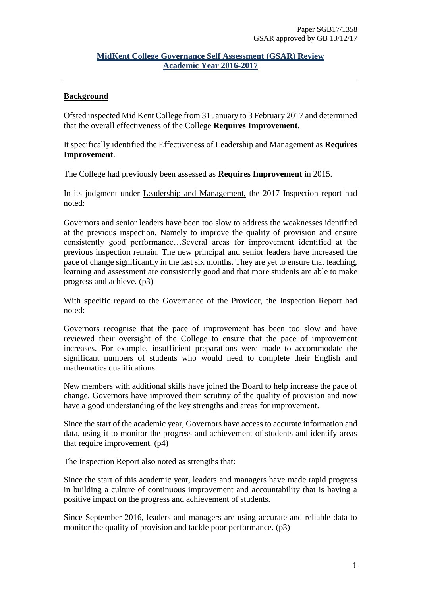### **MidKent College Governance Self Assessment (GSAR) Review Academic Year 2016-2017**

### **Background**

Ofsted inspected Mid Kent College from 31 January to 3 February 2017 and determined that the overall effectiveness of the College **Requires Improvement**.

It specifically identified the Effectiveness of Leadership and Management as **Requires Improvement**.

The College had previously been assessed as **Requires Improvement** in 2015.

In its judgment under Leadership and Management, the 2017 Inspection report had noted:

Governors and senior leaders have been too slow to address the weaknesses identified at the previous inspection. Namely to improve the quality of provision and ensure consistently good performance…Several areas for improvement identified at the previous inspection remain. The new principal and senior leaders have increased the pace of change significantly in the last six months. They are yet to ensure that teaching, learning and assessment are consistently good and that more students are able to make progress and achieve. (p3)

With specific regard to the Governance of the Provider, the Inspection Report had noted:

Governors recognise that the pace of improvement has been too slow and have reviewed their oversight of the College to ensure that the pace of improvement increases. For example, insufficient preparations were made to accommodate the significant numbers of students who would need to complete their English and mathematics qualifications.

New members with additional skills have joined the Board to help increase the pace of change. Governors have improved their scrutiny of the quality of provision and now have a good understanding of the key strengths and areas for improvement.

Since the start of the academic year, Governors have access to accurate information and data, using it to monitor the progress and achievement of students and identify areas that require improvement. (p4)

The Inspection Report also noted as strengths that:

Since the start of this academic year, leaders and managers have made rapid progress in building a culture of continuous improvement and accountability that is having a positive impact on the progress and achievement of students.

Since September 2016, leaders and managers are using accurate and reliable data to monitor the quality of provision and tackle poor performance. (p3)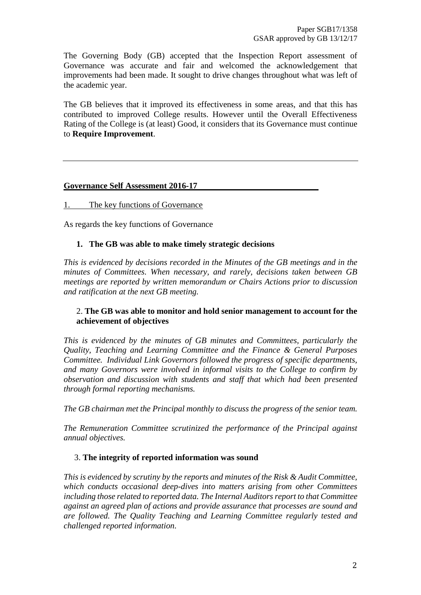The Governing Body (GB) accepted that the Inspection Report assessment of Governance was accurate and fair and welcomed the acknowledgement that improvements had been made. It sought to drive changes throughout what was left of the academic year.

The GB believes that it improved its effectiveness in some areas, and that this has contributed to improved College results. However until the Overall Effectiveness Rating of the College is (at least) Good, it considers that its Governance must continue to **Require Improvement**.

#### **Governance Self Assessment 2016-17**

#### 1. The key functions of Governance

As regards the key functions of Governance

#### **1. The GB was able to make timely strategic decisions**

*This is evidenced by decisions recorded in the Minutes of the GB meetings and in the minutes of Committees. When necessary, and rarely, decisions taken between GB meetings are reported by written memorandum or Chairs Actions prior to discussion and ratification at the next GB meeting.*

### 2. **The GB was able to monitor and hold senior management to account for the achievement of objectives**

*This is evidenced by the minutes of GB minutes and Committees, particularly the Quality, Teaching and Learning Committee and the Finance & General Purposes Committee. Individual Link Governors followed the progress of specific departments, and many Governors were involved in informal visits to the College to confirm by observation and discussion with students and staff that which had been presented through formal reporting mechanisms.*

*The GB chairman met the Principal monthly to discuss the progress of the senior team.* 

*The Remuneration Committee scrutinized the performance of the Principal against annual objectives.* 

#### 3. **The integrity of reported information was sound**

*This is evidenced by scrutiny by the reports and minutes of the Risk & Audit Committee, which conducts occasional deep-dives into matters arising from other Committees including those related to reported data. The Internal Auditors report to that Committee against an agreed plan of actions and provide assurance that processes are sound and are followed. The Quality Teaching and Learning Committee regularly tested and challenged reported information.*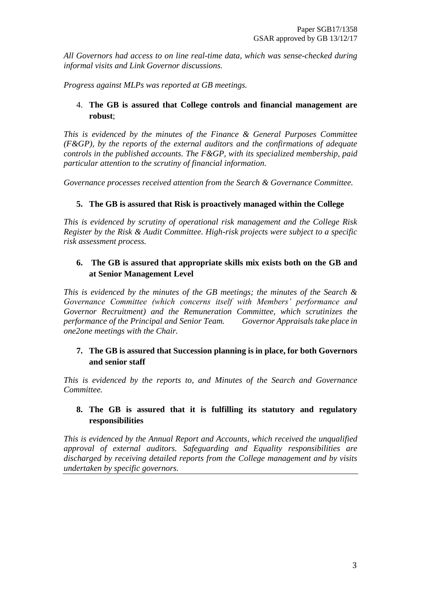*All Governors had access to on line real-time data, which was sense-checked during informal visits and Link Governor discussions.*

*Progress against MLPs was reported at GB meetings.*

# 4. **The GB is assured that College controls and financial management are robust**;

*This is evidenced by the minutes of the Finance & General Purposes Committee (F&GP), by the reports of the external auditors and the confirmations of adequate controls in the published accounts. The F&GP, with its specialized membership, paid particular attention to the scrutiny of financial information.*

*Governance processes received attention from the Search & Governance Committee.*

# **5. The GB is assured that Risk is proactively managed within the College**

*This is evidenced by scrutiny of operational risk management and the College Risk Register by the Risk & Audit Committee. High-risk projects were subject to a specific risk assessment process.*

# **6. The GB is assured that appropriate skills mix exists both on the GB and at Senior Management Level**

*This is evidenced by the minutes of the GB meetings; the minutes of the Search & Governance Committee (which concerns itself with Members' performance and Governor Recruitment) and the Remuneration Committee, which scrutinizes the performance of the Principal and Senior Team. Governor Appraisals take place in one2one meetings with the Chair.*

# **7. The GB is assured that Succession planning is in place, for both Governors and senior staff**

*This is evidenced by the reports to, and Minutes of the Search and Governance Committee.*

# **8. The GB is assured that it is fulfilling its statutory and regulatory responsibilities**

*This is evidenced by the Annual Report and Accounts, which received the unqualified approval of external auditors. Safeguarding and Equality responsibilities are discharged by receiving detailed reports from the College management and by visits undertaken by specific governors.*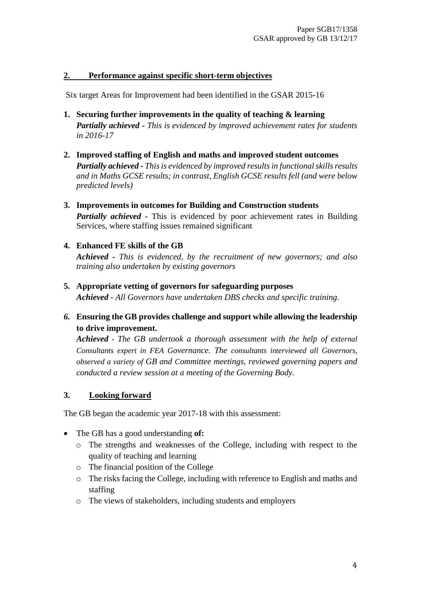### **2. Performance against specific short-term objectives**

Six target Areas for Improvement had been identified in the GSAR 2015-16

- **1. Securing further improvements in the quality of teaching & learning**  *Partially achieved - This is evidenced by improved achievement rates for students in 2016-17*
- **2. Improved staffing of English and maths and improved student outcomes** *Partially achieved - This is evidenced by improved results in functional skills results and in Maths GCSE results; in contrast, English GCSE results fell (and were below predicted levels)*
- **3. Improvements in outcomes for Building and Construction students** *Partially achieved -* This is evidenced by poor achievement rates in Building Services, where staffing issues remained significant

# **4. Enhanced FE skills of the GB**

*Achieved - This is evidenced, by the recruitment of new governors; and also training also undertaken by existing governors*

- **5. Appropriate vetting of governors for safeguarding purposes** *Achieved - All Governors have undertaken DBS checks and specific training.*
- *6.* **Ensuring the GB provides challenge and support while allowing the leadership to drive improvement.**

*Achieved - The GB undertook a thorough assessment with the help of external Consultants expert in FEA Governance. The consultants interviewed all Governors, observed a variety of GB and Committee meetings, reviewed governing papers and conducted a review session at a meeting of the Governing Body.* 

# **3. Looking forward**

The GB began the academic year 2017-18 with this assessment:

- The GB has a good understanding **of:**
	- o The strengths and weaknesses of the College, including with respect to the quality of teaching and learning
	- o The financial position of the College
	- o The risks facing the College, including with reference to English and maths and staffing
	- o The views of stakeholders, including students and employers